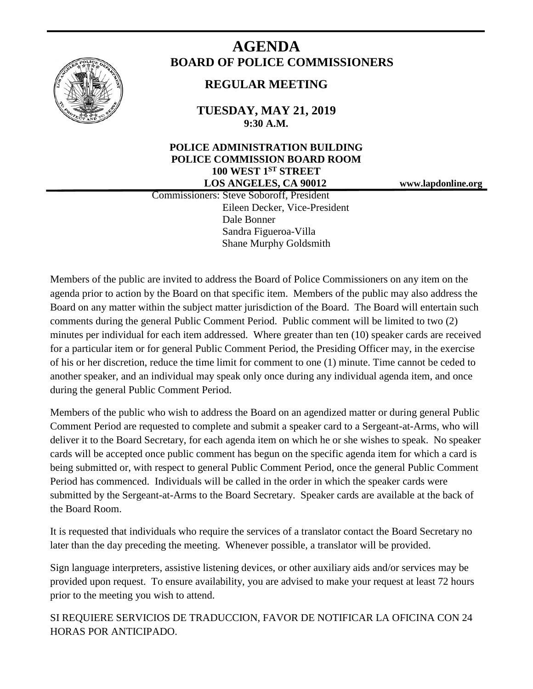

# **AGENDA BOARD OF POLICE COMMISSIONERS**

# **REGULAR MEETING**

**TUESDAY, MAY 21, 2019 9:30 A.M.**

## **POLICE ADMINISTRATION BUILDING POLICE COMMISSION BOARD ROOM 100 WEST 1ST STREET LOS ANGELES, CA 90012 www.lapdonline.org**

 Commissioners: Steve Soboroff, President Eileen Decker, Vice-President Dale Bonner Sandra Figueroa-Villa Shane Murphy Goldsmith

Members of the public are invited to address the Board of Police Commissioners on any item on the agenda prior to action by the Board on that specific item. Members of the public may also address the Board on any matter within the subject matter jurisdiction of the Board. The Board will entertain such comments during the general Public Comment Period. Public comment will be limited to two (2) minutes per individual for each item addressed. Where greater than ten (10) speaker cards are received for a particular item or for general Public Comment Period, the Presiding Officer may, in the exercise of his or her discretion, reduce the time limit for comment to one (1) minute. Time cannot be ceded to another speaker, and an individual may speak only once during any individual agenda item, and once during the general Public Comment Period.

Members of the public who wish to address the Board on an agendized matter or during general Public Comment Period are requested to complete and submit a speaker card to a Sergeant-at-Arms, who will deliver it to the Board Secretary, for each agenda item on which he or she wishes to speak. No speaker cards will be accepted once public comment has begun on the specific agenda item for which a card is being submitted or, with respect to general Public Comment Period, once the general Public Comment Period has commenced. Individuals will be called in the order in which the speaker cards were submitted by the Sergeant-at-Arms to the Board Secretary. Speaker cards are available at the back of the Board Room.

It is requested that individuals who require the services of a translator contact the Board Secretary no later than the day preceding the meeting. Whenever possible, a translator will be provided.

Sign language interpreters, assistive listening devices, or other auxiliary aids and/or services may be provided upon request. To ensure availability, you are advised to make your request at least 72 hours prior to the meeting you wish to attend.

SI REQUIERE SERVICIOS DE TRADUCCION, FAVOR DE NOTIFICAR LA OFICINA CON 24 HORAS POR ANTICIPADO.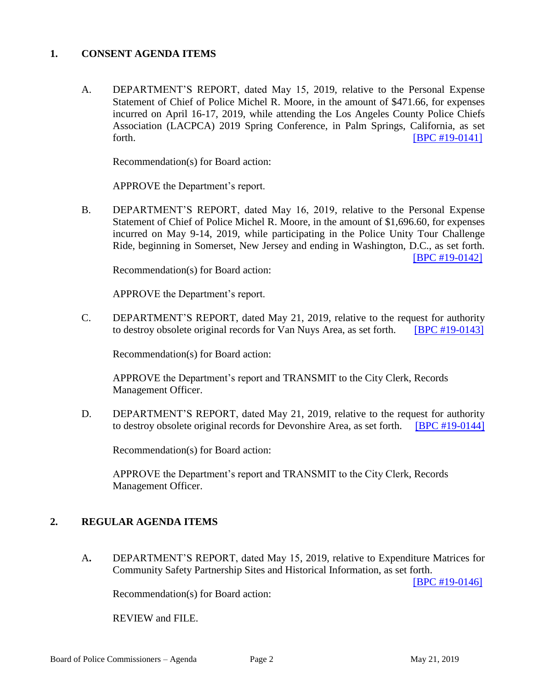#### **1. CONSENT AGENDA ITEMS**

A. DEPARTMENT'S REPORT, dated May 15, 2019, relative to the Personal Expense Statement of Chief of Police Michel R. Moore, in the amount of \$471.66, for expenses incurred on April 16-17, 2019, while attending the Los Angeles County Police Chiefs Association (LACPCA) 2019 Spring Conference, in Palm Springs, California, as set forth. [\[BPC #19-0141\]](http://www.lapdpolicecom.lacity.org/052119/BPC_19-0141.pdf)

Recommendation(s) for Board action:

APPROVE the Department's report.

B. DEPARTMENT'S REPORT, dated May 16, 2019, relative to the Personal Expense Statement of Chief of Police Michel R. Moore, in the amount of \$1,696.60, for expenses incurred on May 9-14, 2019, while participating in the Police Unity Tour Challenge Ride, beginning in Somerset, New Jersey and ending in Washington, D.C., as set forth. [\[BPC #19-0142\]](http://www.lapdpolicecom.lacity.org/052119/BPC_19-0142.pdf)

Recommendation(s) for Board action:

APPROVE the Department's report.

C. DEPARTMENT'S REPORT, dated May 21, 2019, relative to the request for authority to destroy obsolete original records for Van Nuys Area, as set forth. [\[BPC #19-0143\]](http://www.lapdpolicecom.lacity.org/052119/BPC_19-0143.pdf)

Recommendation(s) for Board action:

APPROVE the Department's report and TRANSMIT to the City Clerk, Records Management Officer.

D. DEPARTMENT'S REPORT, dated May 21, 2019, relative to the request for authority to destroy obsolete original records for Devonshire Area, as set forth. [\[BPC #19-0144\]](http://www.lapdpolicecom.lacity.org/052119/BPC_19-0144.pdf)

Recommendation(s) for Board action:

APPROVE the Department's report and TRANSMIT to the City Clerk, Records Management Officer.

### **2. REGULAR AGENDA ITEMS**

A**.** DEPARTMENT'S REPORT, dated May 15, 2019, relative to Expenditure Matrices for Community Safety Partnership Sites and Historical Information, as set forth.

[\[BPC #19-0146\]](http://www.lapdpolicecom.lacity.org/052119/BPC_19-0146.pdf)

Recommendation(s) for Board action:

REVIEW and FILE.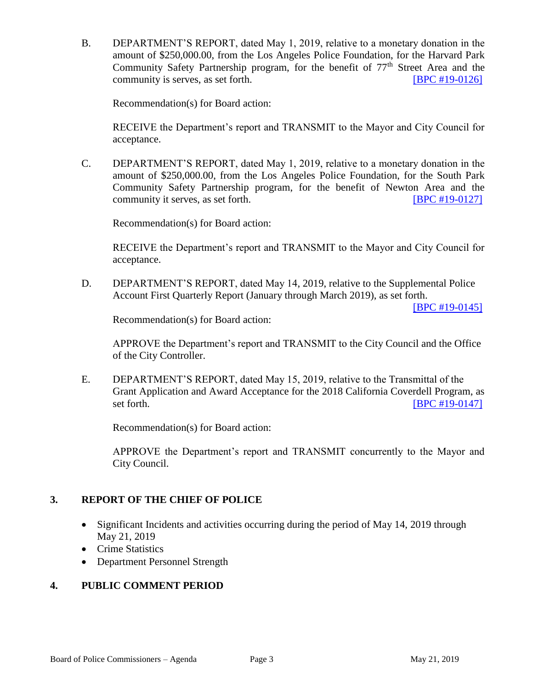B. DEPARTMENT'S REPORT, dated May 1, 2019, relative to a monetary donation in the amount of \$250,000.00, from the Los Angeles Police Foundation, for the Harvard Park Community Safety Partnership program, for the benefit of  $77<sup>th</sup>$  Street Area and the community is serves, as set forth. **ISPC #19-0126** 

Recommendation(s) for Board action:

RECEIVE the Department's report and TRANSMIT to the Mayor and City Council for acceptance.

C. DEPARTMENT'S REPORT, dated May 1, 2019, relative to a monetary donation in the amount of \$250,000.00, from the Los Angeles Police Foundation, for the South Park Community Safety Partnership program, for the benefit of Newton Area and the community it serves, as set forth. **IDPC #19-0127** 

Recommendation(s) for Board action:

RECEIVE the Department's report and TRANSMIT to the Mayor and City Council for acceptance.

D. DEPARTMENT'S REPORT, dated May 14, 2019, relative to the Supplemental Police Account First Quarterly Report (January through March 2019), as set forth.

[\[BPC #19-0145\]](http://www.lapdpolicecom.lacity.org/052119/BPC_19-0145.pdf)

Recommendation(s) for Board action:

APPROVE the Department's report and TRANSMIT to the City Council and the Office of the City Controller.

E. DEPARTMENT'S REPORT, dated May 15, 2019, relative to the Transmittal of the Grant Application and Award Acceptance for the 2018 California Coverdell Program, as set forth. **[\[BPC #19-0147\]](http://www.lapdpolicecom.lacity.org/052119/BPC_19-0147.pdf)** 

Recommendation(s) for Board action:

APPROVE the Department's report and TRANSMIT concurrently to the Mayor and City Council.

### **3. REPORT OF THE CHIEF OF POLICE**

- Significant Incidents and activities occurring during the period of May 14, 2019 through May 21, 2019
- Crime Statistics
- Department Personnel Strength

### **4. PUBLIC COMMENT PERIOD**